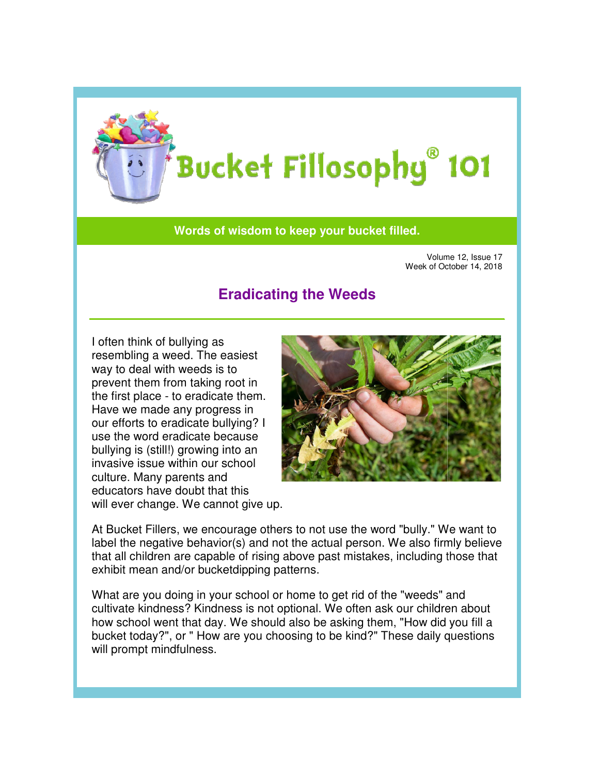

## **Words of wisdom to keep your bucket filled. to**

Volume 12, Issue 17 Week of October 14, 2018 Week

## **Eradicating the Weeds**

I often think of bullying as resembling a weed. The easiest way to deal with weeds is to prevent them from taking root in the first place - to eradicate them. Have we made any progress in our efforts to eradicate bullying? I use the word eradicate because bullying is (still!) growing into an invasive issue within our school culture. Many parents and educators have doubt that this will ever change. We cannot give up.



At Bucket Fillers, we encourage others to not use the word "bully." label the negative behavior(s) and not the actual person. We also firmly believe that all children are capable of rising above past mistakes, including those that exhibit mean and/or bucketdipping patterns.

What are you doing in your school or home to get rid of the "weeds" and that all children are capable of rising above past mistakes, including those tha<br>exhibit mean and/or bucketdipping patterns.<br>What are you doing in your school or home to get rid of the "weeds" and<br>cultivate kindness? Kindn how school went that day. We should also be asking them, "How did you fill a how school went that day. We should also be asking them, "How did you fill a<br>bucket today?", or " How are you choosing to be kind?" These daily questions will prompt mindfulness. . We also firmly<br>es, including thos<br>the "weeds" and<br>sk our children a<br>em, "How did you<br>These daily que